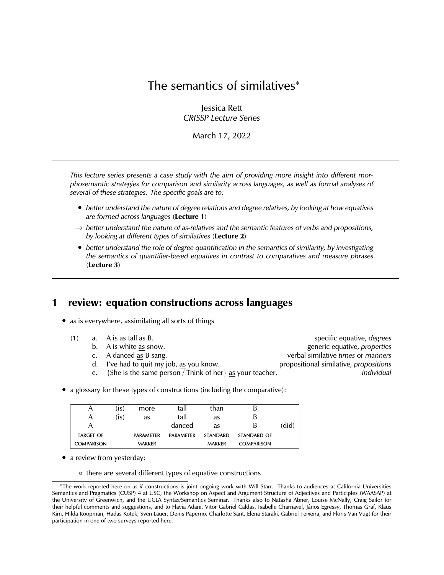# The semantics of similatives<sup>∗</sup>

Jessica Rett *CRISSP Lecture Series*

March 17, 2022

*This lecture series presents a case study with the aim of providing more insight into different morphosemantic strategies for comparison and similarity across languages, as well as formal analyses of several of these strategies. The specific goals are to:*

- *better understand the nature of degree relations and degree relatives, by looking at how equatives are formed across languages* (**Lecture 1**)
- → *better understand the nature of as-relatives and the semantic features of verbs and propositions, by looking at different types of similatives* (**Lecture 2**)
- *better understand the role of degree quantification in the semantics of similarity, by investigating the semantics of quantifier-based equatives in contrast to comparatives and measure phrases* (**Lecture 3**)

## **1 review: equation constructions across languages**

- *as* is everywhere, assimilating all sorts of things
	- -
		-
		- d. I've had to quit my job, as you know. propositional similative, *propositions*
		- e. {She is the same person / Think of her} as your teacher. *individual*

(1) a. A is as tall as B. specific equative, *degrees* b. A is white as snow. generic equative, *properties* c. A danced as B sang. verbal similative *times* or *manners*

• a glossary for these types of constructions (including the comparative):

| A                 | (is) | more             | tall             | than            |                   |       |
|-------------------|------|------------------|------------------|-----------------|-------------------|-------|
| А                 | (is) | as               | tall             | as              | В                 |       |
|                   |      |                  | danced           | as              | В                 | (did) |
| <b>TARGET OF</b>  |      | <b>PARAMETER</b> | <b>PARAMFTFR</b> | <b>STANDARD</b> | STANDARD OF       |       |
| <b>COMPARISON</b> |      | <b>MARKER</b>    |                  | <b>MARKER</b>   | <b>COMPARISON</b> |       |

- a review from yesterday:
	- there are several different types of equative constructions

<sup>∗</sup>The work reported here on *as if* constructions is joint ongoing work with Will Starr. Thanks to audiences at California Universities Semantics and Pragmatics (CUSP) 4 at USC, the Workshop on Aspect and Argument Structure of Adjectives and Participles (WAASAP) at the University of Greenwich, and the UCLA Syntax/Semantics Seminar. Thanks also to Natasha Abner, Louise McNally, Craig Sailor for their helpful comments and suggestions, and to Flavia Adani, Vitor Gabriel Caldas, Isabelle Charnavel, Janos Egressy, Thomas Graf, Klaus ´ Kim, Hilda Koopman, Hadas Kotek, Sven Lauer, Denis Paperno, Charlotte Sant, Elena Staraki, Gabriel Teixeira, and Floris Van Vugt for their participation in one of two surveys reported here.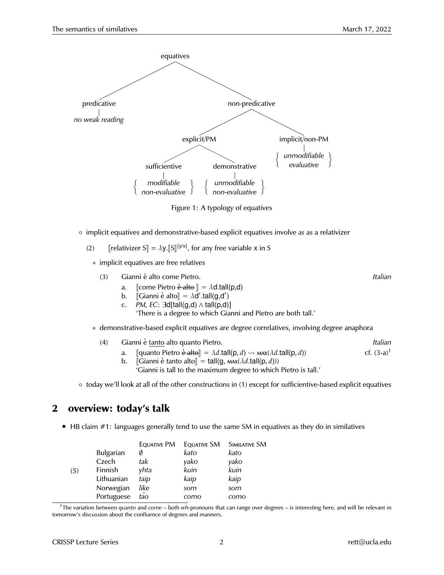

Figure 1: A typology of equatives

- implicit equatives and demonstrative-based explicit equatives involve *as* as a relativizer
	- (2)  $\left[ \text{relativizer } S \right] = \lambda y \cdot \left[ S \right] \left[ y/x \right]$ , for any free variable x in S
		- ∗ implicit equatives are free relatives
			- (3) Gianni e alto come Pietro. ` *Italian*
				- a. [come Pietro  $\dot{e}$  alto  $\phi$ ] =  $\lambda$ d.tall(p,d)<br>b. [Gianni  $\dot{e}$  alto  $\phi$ ] =  $\lambda$ d'.tall(q,d')
				- b.  $\[\mathbb{G}$ ianni è alto $\] = \lambda \vec{d}' . \mathsf{t}$ all(g,d')<br>c. BM, EC: ∃d[tall(g,d), ∆,tall(g,d)
				- c. *PM, EC*: ∃d[tall(g,d) ∧ tall(p,d)]

'There is a degree to which Gianni and Pietro are both tall.'

∗ demonstrative-based explicit equatives are degree correlatives, involving degree anaphora

| (4) | Gianni è tanto alto quanto Pietro. | Italian |
|-----|------------------------------------|---------|
|-----|------------------------------------|---------|

- a.  $\left[\text{quanto Pietro} \cdot \text{d} \cdot \text{d} \cdot \text{d} = \lambda d \cdot \text{tall}(p, d) \rightarrow \text{max}(\lambda d \cdot \text{tall}(p, d)) \right]$  cf. (3-a)<sup>1</sup> cf. (3-a)<sup>1</sup>
	- $\llbracket$ Gianni è tanto alto $\llbracket = \text{tall}(g, \text{max}(\lambda d.\text{tall}(p, d)))$ 'Gianni is tall to the maximum degree to which Pietro is tall.'

◦ today we'll look at all of the other constructions in (1) except for sufficientive-based explicit equatives

# **2 overview: today's talk**

• HB claim #1: languages generally tend to use the same SM in equatives as they do in similatives

|     |            | Equative PM | EQUATIVE SM | SIMILATIVE SM |
|-----|------------|-------------|-------------|---------------|
|     | Bulgarian  | Ø           | kato        | kato          |
|     | Czech      | tak         | yako        | yako          |
| (5) | Finnish    | yhta        | kuin        | kuin          |
|     | Lithuanian | taip        | kaip        | kaip          |
|     | Norwegian  | like        | som         | som           |
|     | Portuguese | tão         | como        | como          |

<sup>1</sup>The variation between *quanto* and *come* – both *wh-*pronouns that can range over degrees – is interesting here, and will be relevant in tomorrow's discussion about the confluence of degrees and manners.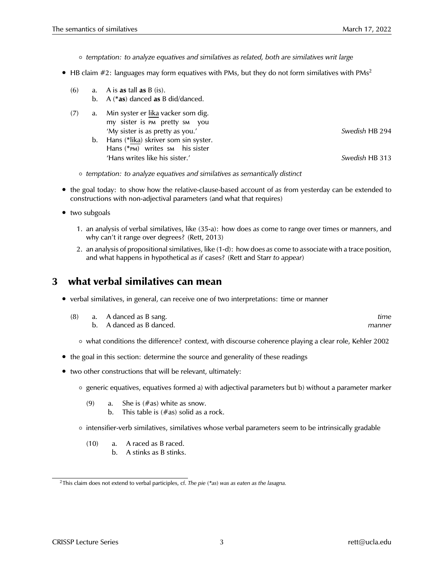- *temptation: to analyze equatives and similatives as related, both are similatives writ large*
- HB claim  $\#2$ : languages may form equatives with PMs, but they do not form similatives with PMs<sup>2</sup>
	- (6) a. A is **as** tall **as** B (is).
		- b. A (\***as**) danced **as** B did/danced.
	- (7) a. Min syster er <u>lika</u> vacker som dig. my sister is PM pretty SM you 'My sister is as pretty as you.' *Swedish* HB 294
		- b. Hans (\*<u>lika</u>) skriver som sin syster. Hans (\*PM) writes sm his sister 'Hans writes like his sister.' *Swedish* HB 313

- *temptation: to analyze equatives and similatives as semantically distinct*
- the goal today: to show how the relative-clause-based account of *as* from yesterday can be extended to constructions with non-adjectival parameters (and what that requires)
- two subgoals
	- 1. an analysis of verbal similatives, like (35-a): how does *as* come to range over times or manners, and why can't it range over degrees? (Rett, 2013)
	- 2. an analysis of propositional similatives, like (1-d): how does *as* come to associate with a trace position, and what happens in hypothetical *as if* cases? (Rett and Starr *to appear*)

## **3 what verbal similatives can mean**

• verbal similatives, in general, can receive one of two interpretations: time or manner

|  | (8) a. A danced as B sang. | tıme   |
|--|----------------------------|--------|
|  | b. A danced as B danced.   | manner |

◦ what conditions the difference? context, with discourse coherence playing a clear role, Kehler 2002

- the goal in this section: determine the source and generality of these readings
- two other constructions that will be relevant, ultimately:
	- generic equatives, equatives formed a) with adjectival parameters but b) without a parameter marker
		- (9) a. She is  $(\#as)$  white as snow.
			- b. This table is  $(\#as)$  solid as a rock.
	- intensifier-verb similatives, similatives whose verbal parameters seem to be intrinsically gradable
		- (10) a. A raced as B raced. b. A stinks as B stinks.

<sup>2</sup>This claim does not extend to verbal participles, cf. *The pie (\*as) was as eaten as the lasagna.*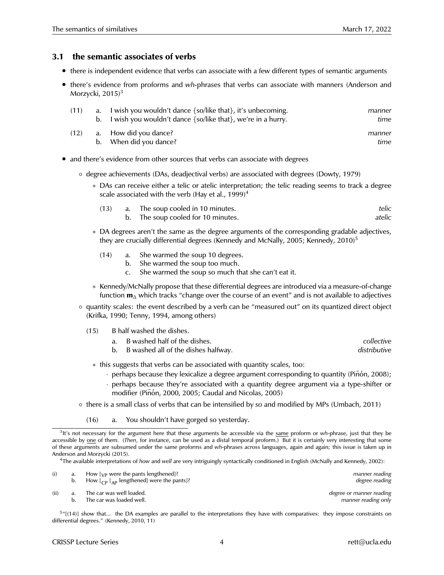#### **3.1 the semantic associates of verbs**

- there is independent evidence that verbs can associate with a few different types of semantic arguments
- there's evidence from proforms and *wh-*phrases that verbs can associate with manners (Anderson and Morzycki,  $2015$ <sup>3</sup>

| (11) | a. I wish you wouldn't dance $\{so/like that\}$ , it's unbecoming.<br>b. I wish you wouldn't dance $\{so/like that\}$ , we're in a hurry. | manner<br>time |
|------|-------------------------------------------------------------------------------------------------------------------------------------------|----------------|
| (12) | a. How did you dance?<br>b. When did you dance?                                                                                           | manner<br>time |

- and there's evidence from other sources that verbs can associate with degrees
	- degree achievements (DAs, deadjectival verbs) are associated with degrees (Dowty, 1979)
		- ∗ DAs can receive either a telic or atelic interpretation; the telic reading seems to track a degree scale associated with the verb (Hay et al.,  $1999)^4$

| (13) | a. The soup cooled in 10 minutes. | telic  |
|------|-----------------------------------|--------|
|      | The soup cooled for 10 minutes.   | atelic |

- ∗ DA degrees aren't the same as the degree arguments of the corresponding gradable adjectives, they are crucially differential degrees (Kennedy and McNally, 2005; Kennedy, 2010)<sup>5</sup>
	- (14) a. She warmed the soup 10 degrees.
		- b. She warmed the soup too much.
		- c. She warmed the soup so much that she can't eat it.
- ∗ Kennedy/McNally propose that these differential degrees are introduced via a measure-of-change function **m**<sup>∆</sup> which tracks "change over the course of an event" and is not available to adjectives
- quantity scales: the event described by a verb can be "measured out" on its quantized direct object (Krifka, 1990; Tenny, 1994, among others)
	- (15) B half washed the dishes.

| a. B washed half of the dishes.        | collective   |
|----------------------------------------|--------------|
| b. B washed all of the dishes halfway. | distributive |

- ∗ this suggests that verbs can be associated with quantity scales, too:
	- $\cdot$  perhaps because they lexicalize a degree argument corresponding to quantity (Piñón, 2008);
	- · perhaps because they're associated with a quantity degree argument via a type-shifter or modifier (Piñón, 2000, 2005; Caudal and Nicolas, 2005)
- there is a small class of verbs that can be intensified by *so* and modified by MPs (Umbach, 2011)
	- (16) a. You shouldn't have gorged so yesterday.

<sup>4</sup>The available interpretations of *how* and *well* are very intriguingly syntactically conditioned in English (McNally and Kennedy, 2002):

|      | b. | How $[\sqrt{p}$ were the pants lengthened]?<br>How $\begin{bmatrix} C_{\rm P} & \begin{bmatrix} A_{\rm P} \end{bmatrix} \end{bmatrix}$ engthened] were the pants]? | manner reading<br>degree reading                |
|------|----|--------------------------------------------------------------------------------------------------------------------------------------------------------------------|-------------------------------------------------|
| (ii) |    | The car was well loaded.<br>The car was loaded well.                                                                                                               | degree or manner reading<br>manner reading only |

<sup>5</sup>"[(14)] show that... the DA examples are parallel to the interpretations they have with comparatives: they impose constraints on differential degrees." (Kennedy, 2010, 11)

<sup>3</sup> It's not necessary for the argument here that these arguments be accessible via the same proform or *wh-*phrase, just that they be accessible by one of them. (*Then*, for instance, can be used as a distal temporal proform.) But it is certainly very interesting that some of these arguments are subsumed under the same proforms and *wh-*phrases across languages, again and again; this issue is taken up in Anderson and Morzycki (2015).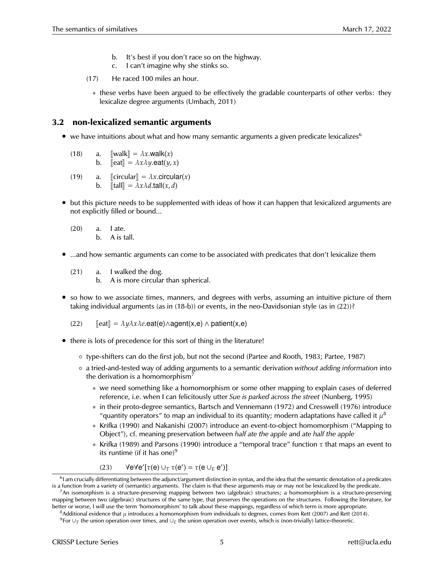- It's best if you don't race so on the highway.
- c. I can't imagine why she stinks so.
- (17) He raced 100 miles an hour.
	- ∗ these verbs have been argued to be effectively the gradable counterparts of other verbs: they lexicalize degree arguments (Umbach, 2011)

### **3.2 non-lexicalized semantic arguments**

- we have intuitions about what and how many semantic arguments a given predicate lexicalizes<sup>6</sup>
	- (18) a.  $\llbracket \text{walk} \rrbracket = \lambda x.\text{walk}(x)$ <br>b.  $\llbracket \text{eat} \rrbracket = \lambda x \lambda y.\text{eat}(y, z)$  $\llbracket \text{eat} \rrbracket = \lambda x \lambda y \cdot \text{eat}(y, x)$
	- (19) a. [[circular] =  $\lambda x$ .circular(*x*)<br>b. [[tall] =  $\lambda x \lambda d$ .tall(*x,d*)  $\llbracket \text{tall} \rrbracket = \lambda x \lambda d \cdot \text{tall}(x, d)$
- but this picture needs to be supplemented with ideas of how it can happen that lexicalized arguments are not explicitly filled or bound...
	- (20) a. I ate. b. A is tall.
- ...and how semantic arguments can come to be associated with predicates that don't lexicalize them
	- (21) a. I walked the dog.
		- b. A is more circular than spherical.
- so how to we associate times, manners, and degrees with verbs, assuming an intuitive picture of them taking individual arguments (as in (18-b)) or events, in the neo-Davidsonian style (as in (22))?

(22) 
$$
[eat] = \lambda y \lambda x \lambda e.eat(e) \land agent(x, e) \land patient(x, e)
$$

- there is lots of precedence for this sort of thing in the literature!
	- type-shifters can do the first job, but not the second (Partee and Rooth, 1983; Partee, 1987)
	- a tried-and-tested way of adding arguments to a semantic derivation *without adding information* into the derivation is a homomorphism<sup>7</sup>
		- ∗ we need something like a homomorphism or some other mapping to explain cases of deferred reference, i.e. when I can felicitously utter *Sue is parked across the street* (Nunberg, 1995)
		- ∗ in their proto-degree semantics, Bartsch and Vennemann (1972) and Cresswell (1976) introduce "quantity operators" to map an individual to its quantity; modern adaptations have called it  $\mu^8$
		- ∗ Krifka (1990) and Nakanishi (2007) introduce an event-to-object homomorphism ("Mapping to Object"), cf. meaning preservation between *half ate the apple* and *ate half the apple*
		- ∗ Krifka (1989) and Parsons (1990) introduce a "temporal trace" function τ that maps an event to its runtime (if it has one)<sup>9</sup>

(23)  $\forall e \forall e' [\tau(e) \cup_T \tau(e') = \tau(e \cup_E e')]$ 

 $^6$ I am crucially differentiating between the adjunct/argument distinction in syntax, and the idea that the semantic denotation of a predicates is a function from a variety of (semantic) arguments. The claim is that these arguments may or may not be lexicalized by the predicate. <sup>7</sup>An isomorphism is a structure-preserving mapping between two (algebraic) structures; a homomorphism is a structure-preserving mapping between two (algebraic) structures of the same type, that preserves the operations on the structures. Following the literature, for

better or worse, I will use the term 'homomorphism' to talk about these mappings, regardless of which term is more appropriate. <sup>8</sup>Additional evidence that  $\mu$  introduces a homomorphism from individuals to degrees, comes from Rett (2007) and Rett (2014).

<sup>9</sup> For ∪*<sup>T</sup>* the union operation over times, and ∪*<sup>E</sup>* the union operation over events, which is (non-trivially) lattice-theoretic.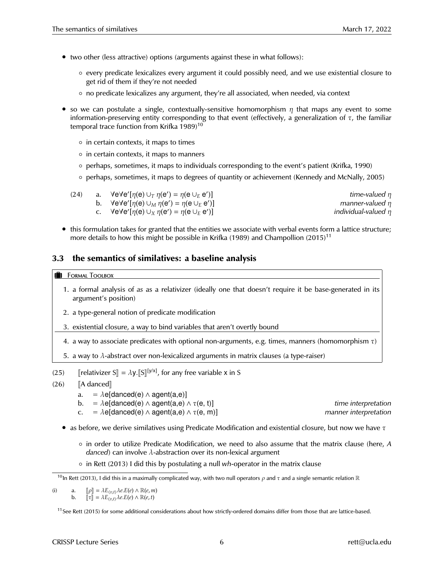- two other (less attractive) options (arguments against these in what follows):
	- every predicate lexicalizes every argument it could possibly need, and we use existential closure to get rid of them if they're not needed
	- no predicate lexicalizes any argument, they're all associated, when needed, via context
- so we can postulate a single, contextually-sensitive homomorphism  $\eta$  that maps any event to some information-preserving entity corresponding to that event (effectively, a generalization of  $\tau$ , the familiar temporal trace function from Krifka  $1989$ <sup>10</sup>
	- in certain contexts, it maps to times
	- in certain contexts, it maps to manners
	- perhaps, sometimes, it maps to individuals corresponding to the event's patient (Krifka, 1990)
	- perhaps, sometimes, it maps to degrees of quantity or achievement (Kennedy and McNally, 2005)

| (24) | a. $\forall e \forall e' [\eta(e) \cup_T \eta(e') = \eta(e \cup_E e')]$ | time-valued $\eta$       |
|------|-------------------------------------------------------------------------|--------------------------|
|      | b. $\forall e \forall e' [\eta(e) \cup_M \eta(e') = \eta(e \cup_E e')]$ | manner-valued $\eta$     |
|      | c. $\forall e \forall e' [\eta(e) \cup_X \eta(e') = \eta(e \cup_E e')]$ | individual-valued $\eta$ |

• this formulation takes for granted that the entities we associate with verbal events form a lattice structure; more details to how this might be possible in Krifka (1989) and Champollion (2015)<sup>11</sup>

### **3.3 the semantics of similatives: a baseline analysis**

#### **FORMAL TOOLBOX**

- 1. a formal analysis of *as* as a relativizer (ideally one that doesn't require it be base-generated in its argument's position)
- 2. a type-general notion of predicate modification
- 3. existential closure, a way to bind variables that aren't overtly bound
- 4. a way to associate predicates with optional non-arguments, e.g. times, manners (homomorphism  $\tau$ )

5. a way to  $\lambda$ -abstract over non-lexicalized arguments in matrix clauses (a type-raiser)

- (25)  $\left[\text{relativizer } S\right] = \lambda y \cdot \left[\left[S\right]\right]^{[y/x]}$ , for any free variable x in S
- (26)  $\begin{bmatrix} A \text{ danced} \end{bmatrix}$ <br>a. =  $\lambda$ elo
	- $= \lambda e[denced(e) \wedge agent(a, e)]$
	- b. =  $\lambda e[denced(e) \wedge agent(a, e) \wedge \tau(e, t)]$  *time interpretation*
	- c.  $=\lambda e[denced(e) \wedge agent(a,e) \wedge \tau(e,m)]$  *manner interpretation*
	- as before, we derive similatives using Predicate Modification and existential closure, but now we have  $\tau$ 
		- in order to utilize Predicate Modification, we need to also assume that the matrix clause (here, *A danced*) can involve λ-abstraction over its non-lexical argument
		- in Rett (2013) I did this by postulating a null *wh-*operator in the matrix clause

<sup>&</sup>lt;sup>10</sup>In Rett (2013), I did this in a maximally complicated way, with two null operators *ρ* and *τ* and a single semantic relation R

<sup>(</sup>i) a.  $[\![\rho]\!] = \lambda E_{\langle v,t\rangle} \lambda e.E(e) \wedge \mathbb{R}(e,m)$ <br>b.  $[\![\tau]\!] = \lambda E_{\langle v,t\rangle} \lambda e.E(e) \wedge \mathbb{R}(e,t)$  $[\![\tau]\!] = \lambda E_{\langle v,t\rangle} \lambda e.E(e) \wedge \mathbb{R}(e,t)$ 

 $11$ See Rett (2015) for some additional considerations about how strictly-ordered domains differ from those that are lattice-based.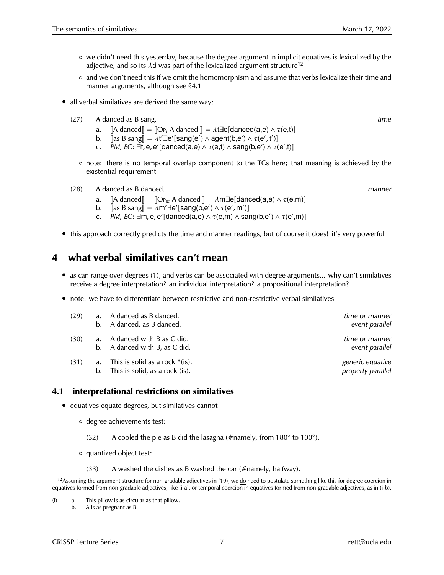- we didn't need this yesterday, because the degree argument in implicit equatives is lexicalized by the adjective, and so its  $\lambda$ d was part of the lexicalized argument structure<sup>12</sup>
- and we don't need this if we omit the homomorphism and assume that verbs lexicalize their time and manner arguments, although see §4.1
- all verbal similatives are derived the same way:
	- (27) A danced as B sang. *time*
		- a.  $\begin{bmatrix} A \text{ danced} \end{bmatrix} = \begin{bmatrix} \text{Op}_t A \text{ danced} \end{bmatrix} = \lambda t \exists e[\text{danced}(a,e) \land \tau(e,t)]$ <br>b.  $\begin{bmatrix} \text{Ias B same} \end{bmatrix} = \lambda t' \exists e'[\text{sana}(e') \land \text{acent}(b.e') \land \tau(e', t')]$
		- b.  $\[\begin{array}{c} \[\]\text{as B sang}\end{array} = \mathring{\lambda}t' \cdot \exists e'[\text{sang}(e') \wedge \text{agent}(b, e') \wedge \tau(e', t')]\]$
		- c.  $PM$ , EC:  $\exists t$ , e, e'[danced(a,e)  $\land \tau$ (e,t)  $\land$  sang(b,e')  $\land \tau$ (e',t)]
		- note: there is no temporal overlap component to the TCs here; that meaning is achieved by the existential requirement
	- (28) A danced as B danced. *manner*
		- a.  $[A \text{ danced}] = [Op_m \text{ A} \text{ danced}] = \lambda m \exists e[\text{danced}(a,e) \land \tau(e,m)]$ <br>b.  $[a \text{ s B sang}] = \lambda m' \exists e'[\text{sang}(b,e') \land \tau(e',m')]$
		- b.  $\left[\cos B \cdot \sin \sin \theta\right] = \lambda m' \cdot \frac{1}{2} e' \cdot \left[\sin \theta \cdot \cos \theta \cdot \cos \theta \cdot \cos \theta \cdot \cos \theta \cdot \cos \theta \cdot \cos \theta \cdot \cos \theta \cdot \cos \theta \cdot \cos \theta \cdot \cos \theta \cdot \cos \theta \cdot \cos \theta \cdot \cos \theta \cdot \cos \theta \cdot \cos \theta \cdot \cos \theta \cdot \cos \theta \cdot \cos \theta \cdot \cos \theta \cdot \cos \theta \cdot \cos \theta \cdot \cos \theta \cdot \cos \theta \cdot \cos \theta \cdot \cos \theta \cdot \cos \theta \cdot \cos \theta \cdot \cos \theta \cdot \cos \theta \cdot \$
		- c.  $PM$ , EC:  $\exists m$ , e, e'[danced(a,e)  $\land \tau$ (e,m)  $\land$  sang(b,e')  $\land \tau$ (e',m)]
- this approach correctly predicts the time and manner readings, but of course it does! it's very powerful

## **4 what verbal similatives can't mean**

- *as* can range over degrees (1), and verbs can be associated with degree arguments... why can't similatives receive a degree interpretation? an individual interpretation? a propositional interpretation?
- note: we have to differentiate between restrictive and non-restrictive verbal similatives

| (29) |          | a. A danced as B danced.<br>b. A danced, as B danced.               | time or manner<br>event parallel      |
|------|----------|---------------------------------------------------------------------|---------------------------------------|
| (30) |          | a. A danced with B as C did.<br>b. A danced with B, as C did.       | time or manner<br>event parallel      |
| (31) | a.<br>b. | This is solid as a rock $*(is)$ .<br>This is solid, as a rock (is). | generic equative<br>property parallel |

### **4.1 interpretational restrictions on similatives**

- equatives equate degrees, but similatives cannot
	- degree achievements test:
		- (32) A cooled the pie as B did the lasagna (#namely, from  $180^\circ$  to  $100^\circ$ ).
	- quantized object test:
		- (33) A washed the dishes as B washed the car ( $\#$ namely, halfway).

 $12$ Assuming the argument structure for non-gradable adjectives in (19), we do need to postulate something like this for degree coercion in equatives formed from non-gradable adjectives, like (i-a), or temporal coercion in equatives formed from non-gradable adjectives, as in (i-b).

<sup>(</sup>i) a. This pillow is as circular as that pillow.

b. A is as pregnant as B.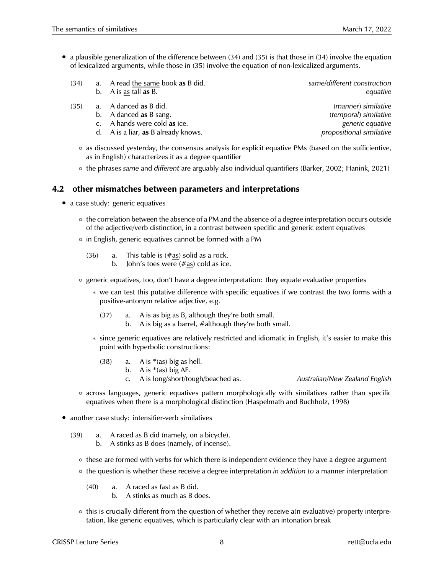- a plausible generalization of the difference between (34) and (35) is that those in (34) involve the equation of lexicalized arguments, while those in (35) involve the equation of non-lexicalized arguments.
	- (34) a. A read the same book **as** B did. *same/different construction* b. A is as tall **as** B. *equative*
	- (35) a. A danced **as** B did. *(manner) similative*
		-
		- c. A hands were cold **as** ice. *generic equative*
		- d. A is a liar, **as** B already knows. *propositional similative*

b. A danced **as** B sang. *(temporal) similative*

- as discussed yesterday, the consensus analysis for explicit equative PMs (based on the sufficientive, as in English) characterizes it as a degree quantifier
- the phrases *same* and *different* are arguably also individual quantifiers (Barker, 2002; Hanink, 2021)

### **4.2 other mismatches between parameters and interpretations**

- a case study: generic equatives
	- the correlation between the absence of a PM and the absence of a degree interpretation occurs outside of the adjective/verb distinction, in a contrast between specific and generic extent equatives
	- in English, generic equatives cannot be formed with a PM
		- $(36)$  a. This table is  $(\#as)$  solid as a rock.
			- b. John's toes were  $(\#as)$  cold as ice.
	- generic equatives, too, don't have a degree interpretation: they equate evaluative properties
		- ∗ we can test this putative difference with specific equatives if we contrast the two forms with a positive-antonym relative adjective, e.g.
			- (37) a. A is as big as B, although they're both small.
				- b. A is big as a barrel, #although they're both small.
		- ∗ since generic equatives are relatively restricted and idiomatic in English, it's easier to make this point with hyperbolic constructions:
			- (38) a. A is  $*(as)$  big as hell.
				- b. A is  $*(as)$  big AF.
				- c. A is long/short/tough/beached as. *Australian/New Zealand English*
					-
	- across languages, generic equatives pattern morphologically with similatives rather than specific equatives when there is a morphological distinction (Haspelmath and Buchholz, 1998)
- another case study: intensifier-verb similatives
	- (39) a. A raced as B did (namely, on a bicycle).
		- b. A stinks as B does (namely, of incense).
		- these are formed with verbs for which there is independent evidence they have a degree argument
		- the question is whether these receive a degree interpretation *in addition to* a manner interpretation
			- (40) a. A raced as fast as B did.
				- b. A stinks as much as B does.
		- this is crucially different from the question of whether they receive a(n evaluative) property interpretation, like generic equatives, which is particularly clear with an intonation break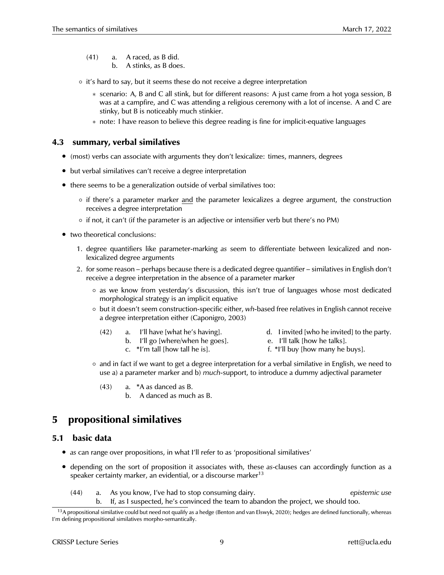- (41) a. A raced, as B did.
	- b. A stinks, as B does.
- it's hard to say, but it seems these do not receive a degree interpretation
	- ∗ scenario: A, B and C all stink, but for different reasons: A just came from a hot yoga session, B was at a campfire, and C was attending a religious ceremony with a lot of incense. A and C are stinky, but B is noticeably much stinkier.
	- ∗ note: I have reason to believe this degree reading is fine for implicit-equative languages

### **4.3 summary, verbal similatives**

- (most) verbs can associate with arguments they don't lexicalize: times, manners, degrees
- but verbal similatives can't receive a degree interpretation
- there seems to be a generalization outside of verbal similatives too:
	- if there's a parameter marker and the parameter lexicalizes a degree argument, the construction receives a degree interpretation
	- if not, it can't (if the parameter is an adjective or intensifier verb but there's no PM)
- two theoretical conclusions:
	- 1. degree quantifiers like parameter-marking *as* seem to differentiate between lexicalized and nonlexicalized degree arguments
	- 2. for some reason perhaps because there is a dedicated degree quantifier similatives in English don't receive a degree interpretation in the absence of a parameter marker
		- as we know from yesterday's discussion, this isn't true of languages whose most dedicated morphological strategy is an implicit equative
		- but it doesn't seem construction-specific either, *wh-*based free relatives in English cannot receive a degree interpretation either (Caponigro, 2003)
			- (42) a. I'll have [what he's having]. d. I invited [who he invited] to the party.
				- b. I'll go [where/when he goes]. e. I'll talk [how he talks].
- - c.  $*1'm$  tall [how tall he is]. f.  $*1'll$  buy [how many he buys].
- - and in fact if we want to get a degree interpretation for a verbal similative in English, we need to use a) a parameter marker and b) *much*-support, to introduce a dummy adjectival parameter
		- (43) a. \*A as danced as B.
			- b. A danced as much as B.

# **5 propositional similatives**

### **5.1 basic data**

- *as* can range over propositions, in what I'll refer to as 'propositional similatives'
- depending on the sort of proposition it associates with, these *as*-clauses can accordingly function as a speaker certainty marker, an evidential, or a discourse marker<sup>13</sup>
	- (44) a. As you know, I've had to stop consuming dairy. *epistemic use* b. If, as I suspected, he's convinced the team to abandon the project, we should too.

<sup>&</sup>lt;sup>13</sup>A propositional similative could but need not qualify as a hedge (Benton and van Elswyk, 2020); hedges are defined functionally, whereas I'm defining propositional similatives morpho-semantically.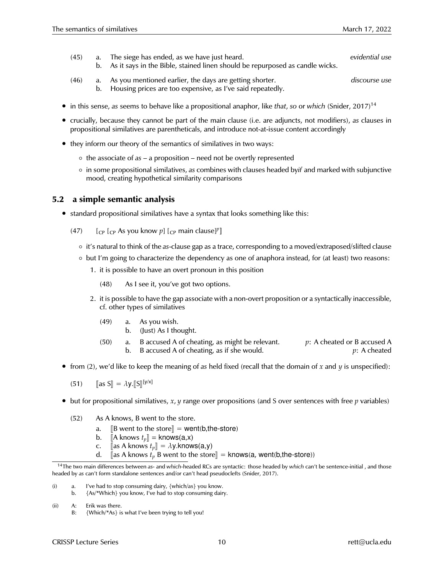- (45) a. The siege has ended, as we have just heard. *evidential use*
	- b. As it says in the Bible, stained linen should be repurposed as candle wicks.
- (46) a. As you mentioned earlier, the days are getting shorter. *discourse use* b. Housing prices are too expensive, as I've said repeatedly.
- in this sense, *as* seems to behave like a propositional anaphor, like *that*, *so* or *which* (Snider, 2017)<sup>14</sup>
- crucially, because they cannot be part of the main clause (i.e. are adjuncts, not modifiers), *as* clauses in propositional similatives are parentheticals, and introduce not-at-issue content accordingly
- they inform our theory of the semantics of similatives in two ways:
	- the associate of *as* a proposition need not be overtly represented
	- in some propositional similatives, *as* combines with clauses headed by*if* and marked with subjunctive mood, creating hypothetical similarity comparisons

### **5.2 a simple semantic analysis**

- standard propositional similatives have a syntax that looks something like this:
	- (47)  $\left[ \begin{array}{cc} \left[ \begin{array}{cc} C_{\text{CP}} & \text{As you know } p \end{array} \right] \left[ \begin{array}{cc} C_{\text{CP}} & \text{main clause} \end{array} \right]^{p} \right]$ 
		- it's natural to think of the *as*-clause gap as a trace, corresponding to a moved/extraposed/slifted clause
		- but I'm going to characterize the dependency as one of anaphora instead, for (at least) two reasons:
			- 1. it is possible to have an overt pronoun in this position
				- (48) As I see it, you've got two options.
			- 2. it is possible to have the gap associate with a non-overt proposition or a syntactically inaccessible, cf. other types of similatives
				- (49) a. As you wish.
					- b. (Just) As I thought.
				- (50) a. B accused A of cheating, as might be relevant. *p*: A cheated or B accused A b. B accused A of cheating, as if she would. *p*: A cheated
- from (2), we'd like to keep the meaning of *as* held fixed (recall that the domain of *x* and *y* is unspecified):

(51)  $\left[\text{as } S\right] = \lambda y \cdot \left[\left[S\right]\right] \left[y/x\right]$ 

- but for propositional similatives,  $x, y$  range over propositions (and S over sentences with free  $p$  variables)
	- (52) As A knows, B went to the store.
		- a.  $\begin{bmatrix} B & \text{went to the store} \end{bmatrix} = \text{went(b, the store)}$ <br>b.  $\begin{bmatrix} A & \text{knows } t_n \end{bmatrix} = \text{knows(a,x)}$
		-
		- b.  $[A \text{ knows } t_p] = \text{knows}(a, x)$ <br>c.  $[a \text{as } A \text{ knows } t_n] = \lambda y \text{. know}$ c.  $[\text{as A knows } t_p] = \lambda y \cdot \text{knows(a,y)}$ <br>d.  $[\text{as A knows } t_n]$  went to the store
		- [as A knows  $t_p$  B went to the store]] = knows(a, went(b,the-store))

(ii) A: Erik was there.

<sup>14</sup>The two main differences between *as-* and *which-*headed RCs are syntactic: those headed by *which* can't be sentence-initial , and those headed by *as* can't form standalone sentences and/or can't head pseudoclefts (Snider, 2017).

<sup>(</sup>i) a. I've had to stop consuming dairy, {which/as} you know.

b. {As/\*Which} you know, I've had to stop consuming dairy.

B: {Which/\*As} is what I've been trying to tell you!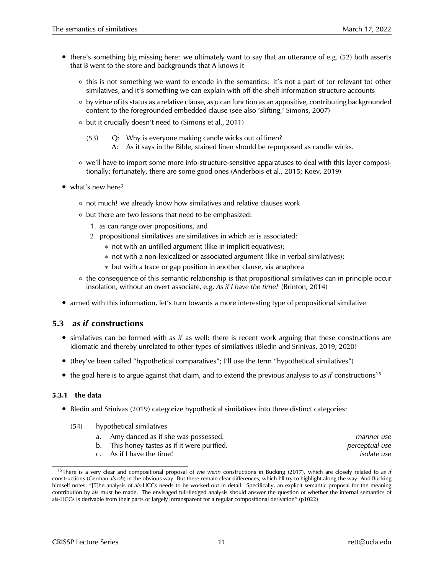- there's something big missing here: we ultimately want to say that an utterance of e.g. (52) both asserts that B went to the store and backgrounds that A knows it
	- this is not something we want to encode in the semantics: it's not a part of (or relevant to) other similatives, and it's something we can explain with off-the-shelf information structure accounts
	- by virtue of its status as a relative clause, *as p* can function as an appositive, contributing backgrounded content to the foregrounded embedded clause (see also 'slifting,' Simons, 2007)
	- but it crucially doesn't need to (Simons et al., 2011)
		- (53) Q: Why is everyone making candle wicks out of linen?
			- A: As it says in the Bible, stained linen should be repurposed as candle wicks.
	- we'll have to import some more info-structure-sensitive apparatuses to deal with this layer compositionally; fortunately, there are some good ones (Anderbois et al., 2015; Koev, 2019)
- what's new here?
	- not much! we already know how similatives and relative clauses work
	- but there are two lessons that need to be emphasized:
		- 1. *as* can range over propositions, and
		- 2. propositional similatives are similatives in which *as* is associated:
			- ∗ not with an unfilled argument (like in implicit equatives);
			- ∗ not with a non-lexicalized or associated argument (like in verbal similatives);
			- ∗ but with a trace or gap position in another clause, via anaphora
	- the consequence of this semantic relationship is that propositional similatives can in principle occur insolation, without an overt associate, e.g. *As if I have the time!* (Brinton, 2014)
- armed with this information, let's turn towards a more interesting type of propositional similative

### **5.3** *as if* **constructions**

- similatives can be formed with *as if* as well; there is recent work arguing that these constructions are idiomatic and thereby unrelated to other types of similatives (Bledin and Srinivas, 2019, 2020)
- (they've been called "hypothetical comparatives"; I'll use the term "hypothetical similatives")
- the goal here is to argue against that claim, and to extend the previous analysis to as if constructions<sup>15</sup>

#### **5.3.1 the data**

- Bledin and Srinivas (2019) categorize hypothetical similatives into three distinct categories:
	- (54) hypothetical similatives
		- a. Amy danced as if she was possessed. *manner use* b. This honey tastes as if it were purified. *perceptual use*
		- c. As if I have the time! *isolate use*

<sup>&</sup>lt;sup>15</sup>There is a very clear and compositional proposal of *wie wenn* constructions in Bücking (2017), which are closely related to as if constructions (German *als ob*) in the obvious way. But there remain clear differences, which I'll try to highlight along the way. And Bucking himself notes, "[T]he analysis of *als*-HCCs needs to be worked out in detail. Specifically, an explicit semantic proposal for the meaning contribution by *als* must be made. The envisaged full-fledged analysis should answer the question of whether the internal semantics of *als*-HCCs is derivable from their parts or largely intransparent for a regular compositional derivation" (p1022).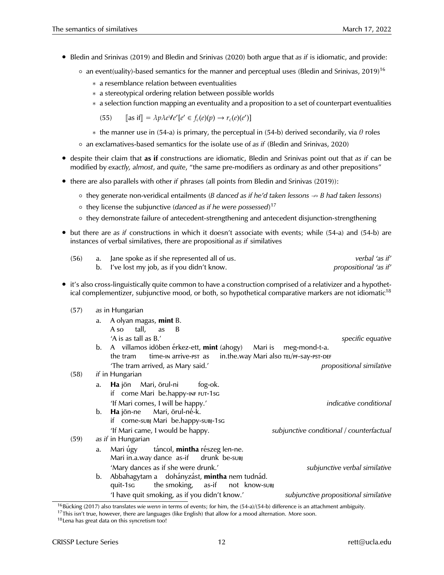- Bledin and Srinivas (2019) and Bledin and Srinivas (2020) both argue that *as if* is idiomatic, and provide:
	- $\circ$  an event(uality)-based semantics for the manner and perceptual uses (Bledin and Srinivas, 2019)<sup>16</sup>
		- ∗ a resemblance relation between eventualities
		- ∗ a stereotypical ordering relation between possible worlds
		- ∗ a selection function mapping an eventuality and a proposition to a set of counterpart eventualities

(55)  $[\text{as if}] = \lambda p \lambda e \forall e' [e' \in f_c(e)(p) \rightarrow r_c(e)(e')]$ 

 $*$  the manner use in (54-a) is primary, the perceptual in (54-b) derived secondarily, via  $\theta$  roles

◦ an exclamatives-based semantics for the isolate use of *as if* (Bledin and Srinivas, 2020)

- despite their claim that **as if** constructions are idiomatic, Bledin and Srinivas point out that *as if* can be modified by *exactly, almost*, and *quite*, "the same pre-modifiers as ordinary *as* and other prepositions"
- there are also parallels with other *if* phrases (all points from Bledin and Srinivas (2019)):
	- they generate non-veridical entailments (*B danced as if he'd taken lessons* 9 *B had taken lessons*)
	- they license the subjunctive (*danced as if he were possessed*) 17
	- they demonstrate failure of antecedent-strengthening and antecedent disjunction-strengthening
- but there are *as if* constructions in which it doesn't associate with events; while (54-a) and (54-b) are instances of verbal similatives, there are propositional *as if* similatives

| (56) | a. Jane spoke as if she represented all of us. | verbal 'as if'        |
|------|------------------------------------------------|-----------------------|
|      | b. I've lost my job, as if you didn't know.    | propositional 'as if' |

• it's also cross-linguistically quite common to have a construction comprised of a relativizer and a hypothetical complementizer, subjunctive mood, or both, so hypothetical comparative markers are not idiomatic<sup>18</sup>

#### (57) *as* in Hungarian

- a. A olyan magas, **mint** B. A so tall, as B 'A is as tall as B.' *specific equative* b. A villamos idöben érkez-ett, **mint** (ahogy) Mari is meg-mond-t-a.
- the tram time-in arrive-pst as in.the.way Mari also TEL/PF-Say-PST-DEF 'The tram arrived, as Mary said.' *propositional similative*
- (58) *if* in Hungarian a. **Ha** jön If come Mari be.happy-INF FUT-1sG Mari, örul-ni fog-ok. 'If Mari comes, I will be happy.' *indicative conditional* b. **Ha** jön-ne if come-subj Mari be.happy-subj-1sg Mari, örul-né-k. 'If Mari came, I would be happy. *subjunctive conditional / counterfactual* (59) *as if* in Hungarian a. Mari úgy Mari in.a.way dance as-if táncol, **mintha** részeg len-ne. drunk be-subj 'Mary dances as if she were drunk.' *subjunctive verbal similative* b. Abbahagytam a dohányzást, **mintha** nem tudnád. quit-1sg the smoking, as-if not know-subj 'I have quit smoking, as if you didn't know.' *subjunctive propositional similative*

<sup>&</sup>lt;sup>16</sup>Bücking (2017) also translates *wie wenn* in terms of events; for him, the (54-a)/(54-b) difference is an attachment ambiguity.

 $17$ This isn't true, however, there are languages (like English) that allow for a mood alternation. More soon.

<sup>18</sup>Lena has great data on this syncretism too!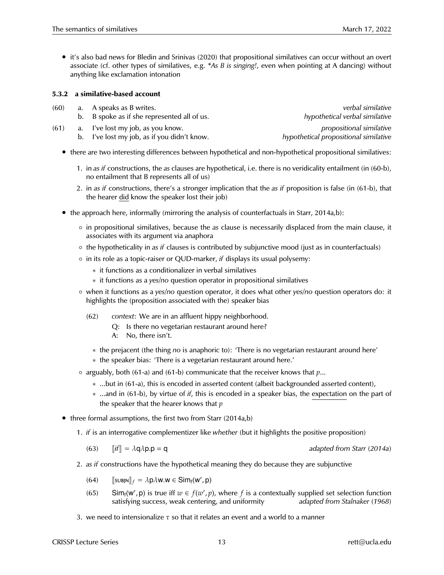• it's also bad news for Bledin and Srinivas (2020) that propositional similatives can occur without an overt associate (cf. other types of similatives, e.g. *\*As B is singing!*, even when pointing at A dancing) without anything like exclamation intonation

#### **5.3.2 a similative-based account**

| (60) | a. A speaks as B writes.                    | verbal similative                     |
|------|---------------------------------------------|---------------------------------------|
|      | b. B spoke as if she represented all of us. | hypothetical verbal similative        |
| (61) | a. I've lost my job, as you know.           | propositional similative              |
|      | b. I've lost my job, as if you didn't know. | hypothetical propositional similative |

- there are two interesting differences between hypothetical and non-hypothetical propositional similatives:
	- 1. in *as if* constructions, the *as* clauses are hypothetical, i.e. there is no veridicality entailment (in (60-b), no entailment that B represents all of us)
	- 2. in *as if* constructions, there's a stronger implication that the *as if* proposition is false (in (61-b), that the hearer did know the speaker lost their job)
- the approach here, informally (mirroring the analysis of counterfactuals in Starr, 2014a,b):
	- in propositional similatives, because the *as* clause is necessarily displaced from the main clause, it associates with its argument via anaphora
	- the hypotheticality in *as if* clauses is contributed by subjunctive mood (just as in counterfactuals)
	- in its role as a topic-raiser or QUD-marker, *if* displays its usual polysemy:
		- ∗ it functions as a conditionalizer in verbal similatives
		- ∗ it functions as a *yes/no* question operator in propositional similatives
	- when it functions as a *yes/no* question operator, it does what other *yes/no* question operators do: it highlights the (proposition associated with the) speaker bias
		- (62) *context*: We are in an affluent hippy neighborhood.
			- Q: Is there no vegetarian restaurant around here?
			- A: No, there isn't.
			- ∗ the prejacent (the thing *no* is anaphoric to): 'There is no vegetarian restaurant around here'
			- ∗ the speaker bias: 'There is a vegetarian restaurant around here.'
	- arguably, both (61-a) and (61-b) communicate that the receiver knows that *p*...
		- ∗ ...but in (61-a), this is encoded in asserted content (albeit backgrounded asserted content),
		- ∗ ...and in (61-b), by virtue of *if*, this is encoded in a speaker bias, the expectation on the part of the speaker that the hearer knows that *p*
- three formal assumptions, the first two from Starr (2014a,b)
	- 1. *if* is an interrogative complementizer like *whether* (but it highlights the positive proposition)
		- (63)  $\|\textit{if}\| = \lambda q \lambda p.p = q$  *adapted from Starr (2014a)*
	- 2. *as if* constructions have the hypothetical meaning they do because they are subjunctive
		- (64)  $\llbracket \text{SUBJN} \rrbracket_f = \lambda \mathsf{p}\lambda \mathsf{w}.\mathsf{w} \in \mathsf{Sim}_{\mathsf{f}}(\mathsf{w}', \mathsf{p})$
		- (65) Sim<sub>f</sub>(w', p) is true iff  $w \in f(w', p)$ , where f is a contextually supplied set selection function satisfying success, weak centering, and uniformity *adapted from Stalnaker (1968)*
	- 3. we need to intensionalize  $\tau$  so that it relates an event and a world to a manner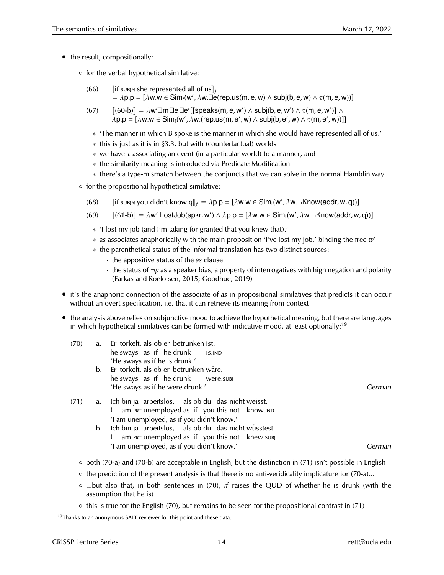- the result, compositionally:
	- for the verbal hypothetical similative:
		- (66) **Julie 1** Jif subjn she represented all of us  $\mathbf{f}_f$  $\stackrel{\scriptscriptstyle{\mathsf{L}}}{=} \lambda \mathsf{p}.\mathsf{p} = [\lambda \mathsf{w}.\mathsf{w} \in \mathsf{Sim}_{\mathsf{f}}(\mathsf{w}',\lambda \mathsf{w}.\vec{\exists} \mathsf{e}(\mathsf{rep}.\mathsf{us}(\mathsf{m},\mathsf{e},\mathsf{w}) \wedge \mathsf{subj}(\mathsf{b},\mathsf{e},\mathsf{w}) \wedge \tau(\mathsf{m},\mathsf{e},\mathsf{w}))]$
		- (67)  $[(60-b)] = \lambda w' \exists m \exists e \exists e' [[speaks(m, e, w') \land subj(b, e, w') \land \tau(m, e, w')] \land$ <br>  $\lambda p, p = \lambda w w \in Sim(y', \lambda w (con \mu g(m, e', w)) \land Subj(b, e', w) \land \tau(m, e', w))]$  $\lambda$ p.p = [ $\lambda$ w.w  $\in$  Sim<sub>f</sub>(w',  $\lambda$ w.(rep.us(m, e', w)  $\wedge$  subj(b, e', w)  $\wedge$   $\tau$ (m, e', w))]]
			- ∗ 'The manner in which B spoke is the manner in which she would have represented all of us.'
			- ∗ this is just as it is in §3.3, but with (counterfactual) worlds
			- $*$  we have  $\tau$  associating an event (in a particular world) to a manner, and
			- ∗ the similarity meaning is introduced via Predicate Modification
			- ∗ there's a type-mismatch between the conjuncts that we can solve in the normal Hamblin way
	- for the propositional hypothetical similative:
		- (68)  $[\![\text{if subjny} \text{ you didn't know } q]\!]_f = \lambda p.p = [\lambda w.w \in \text{Sim}_{f}(w', \lambda w. \neg \text{Know}(\text{addr}, w, q))]$
		- (69)  $[[(61-b)] = \lambda w'.$ LostJob(spkr, w')  $\wedge \lambda p.p = [\lambda w.w \in Sim_f(w', \lambda w. \neg Know(addr, w, q))]$ 
			- ∗ 'I lost my job (and I'm taking for granted that you knew that).'
			- ∗ *as* associates anaphorically with the main proposition 'I've lost my job,' binding the free *w* 0
			- ∗ the parenthetical status of the informal translation has two distinct sources:
				- · the appositive status of the *as* clause
				- $\cdot$  the status of  $\neg p$  as a speaker bias, a property of interrogatives with high negation and polarity (Farkas and Roelofsen, 2015; Goodhue, 2019)
- it's the anaphoric connection of the associate of *as* in propositional similatives that predicts it can occur without an overt specification, i.e. that it can retrieve its meaning from context
- the analysis above relies on subjunctive mood to achieve the hypothetical meaning, but there are languages in which hypothetical similatives can be formed with indicative mood, at least optionally:<sup>19</sup>

| (70) | a. | Er torkelt, als ob er betrunken ist.                           |        |
|------|----|----------------------------------------------------------------|--------|
|      |    | he sways as if he drunk is. IND                                |        |
|      |    | 'He sways as if he is drunk.'                                  |        |
|      |    | b. Er torkelt, als ob er betrunken wäre.                       |        |
|      |    | he sways as if he drunk were.subj                              |        |
|      |    | 'He sways as if he were drunk.'                                | German |
| (71) | a. | Ich bin ja arbeitslos, als ob du das nicht weisst.             |        |
|      |    | am PRT unemployed as if you this not know. IND<br>$\mathbf{L}$ |        |
|      |    | 'I am unemployed, as if you didn't know.'                      |        |
|      | b. | Ich bin ja arbeitslos, als ob du das nicht wüsstest.           |        |
|      |    | am PRT unemployed as if you this not knew.subj                 |        |
|      |    | 'I am unemployed, as if you didn't know.'                      | nan    |

- both (70-a) and (70-b) are acceptable in English, but the distinction in (71) isn't possible in English
- the prediction of the present analysis is that there is no anti-veridicality implicature for (70-a)...
- ...but also that, in both sentences in (70), *if* raises the QUD of whether he is drunk (with the assumption that he is)
- this is true for the English (70), but remains to be seen for the propositional contrast in (71)

 $19$ Thanks to an anonymous SALT reviewer for this point and these data.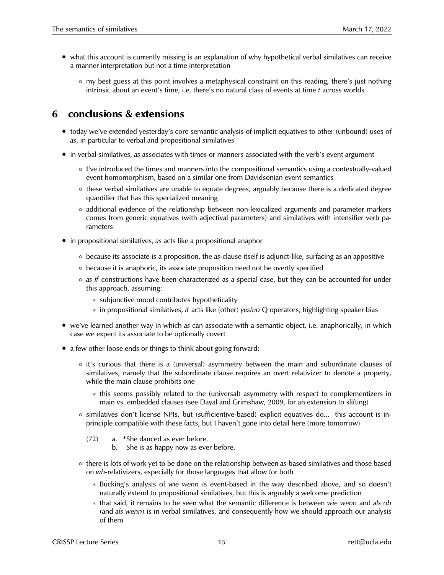- what this account is currently missing is an explanation of why hypothetical verbal similatives can receive a manner interpretation but not a time interpretation
	- my best guess at this point involves a metaphysical constraint on this reading, there's just nothing intrinsic about an event's time, i.e. there's no natural class of events at time *t* across worlds

# **6 conclusions & extensions**

- today we've extended yesterday's core semantic analysis of implicit equatives to other (unbound) uses of *as*, in particular to verbal and propositional similatives
- in verbal similatives, *as* associates with times or manners associated with the verb's event argument
	- I've introduced the times and manners into the compositional semantics using a contextually-valued event homomorphism, based on a similar one from Davidsonian event semantics
	- these verbal similatives are unable to equate degrees, arguably because there is a dedicated degree quantifier that has this specialized meaning
	- additional evidence of the relationship between non-lexicalized arguments and parameter markers comes from generic equatives (with adjectival parameters) and similatives with intensifier verb parameters
- in propositional similatives, *as* acts like a propositional anaphor
	- because its associate is a proposition, the *as*-clause itself is adjunct-like, surfacing as an appositive
	- because it is anaphoric, its associate proposition need not be overtly specified
	- *as if* constructions have been characterized as a special case, but they can be accounted for under this approach, assuming:
		- ∗ subjunctive mood contributes hypotheticality
		- ∗ in propositional similatives, *if* acts like (other) *yes/no* Q operators, highlighting speaker bias
- we've learned another way in which *as* can associate with a semantic object, i.e. anaphorically, in which case we expect its associate to be optionally covert
- a few other loose ends or things to think about going forward:
	- it's curious that there is a (universal) asymmetry between the main and subordinate clauses of similatives, namely that the subordinate clause requires an overt relativizer to denote a property, while the main clause prohibits one
		- ∗ this seems possibly related to the (universal) asymmetry with respect to complementizers in main vs. embedded clauses (see Dayal and Grimshaw, 2009, for an extension to slifting)
	- similatives don't license NPIs, but (sufficientive-based) explicit equatives do... this account is inprinciple compatible with these facts, but I haven't gone into detail here (more tomorrow)
		- (72) a. \*She danced as ever before.
			- b. She is as happy now as ever before.
	- there is lots of work yet to be done on the relationship between *as*-based similatives and those based on *wh-*relativizers, especially for those languages that allow for both
		- ∗ Bu¨cking's analysis of *wie wenn* is event-based in the way described above, and so doesn't naturally extend to propositional similatives, but this is arguably a welcome prediction
		- ∗ that said, it remains to be seen what the semantic difference is between *wie wenn* and *als ob* (and *als wenn*) is in verbal similatives, and consequently how we should approach our analysis of them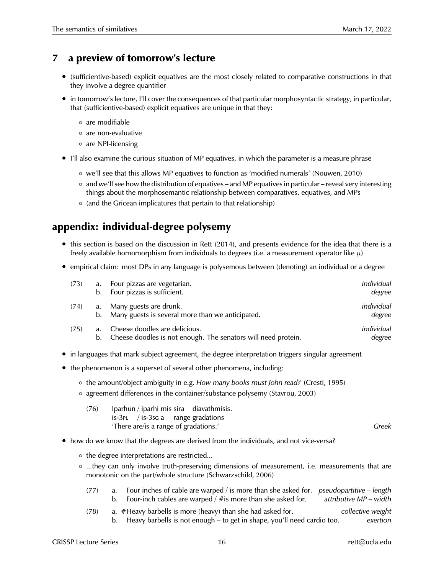## **7 a preview of tomorrow's lecture**

- (sufficientive-based) explicit equatives are the most closely related to comparative constructions in that they involve a degree quantifier
- in tomorrow's lecture, I'll cover the consequences of that particular morphosyntactic strategy, in particular, that (sufficientive-based) explicit equatives are unique in that they:
	- are modifiable
	- are non-evaluative
	- are NPI-licensing
- I'll also examine the curious situation of MP equatives, in which the parameter is a measure phrase
	- we'll see that this allows MP equatives to function as 'modified numerals' (Nouwen, 2010)
	- and we'll see how the distribution of equatives and MP equatives in particular reveal very interesting things about the morphosemantic relationship between comparatives, equatives, and MPs
	- (and the Gricean implicatures that pertain to that relationship)

# **appendix: individual-degree polysemy**

- this section is based on the discussion in Rett (2014), and presents evidence for the idea that there is a freely available homomorphism from individuals to degrees (i.e. a measurement operator like  $\mu$ )
- empirical claim: most DPs in any language is polysemous between (denoting) an individual or a degree

| (73) |          | a. Four pizzas are vegetarian.<br>b. Four pizzas is sufficient.                                | individual<br>degree |
|------|----------|------------------------------------------------------------------------------------------------|----------------------|
| (74) | b.       | a. Many guests are drunk.<br>Many guests is several more than we anticipated.                  | individual<br>degree |
| (75) | a.<br>b. | Cheese doodles are delicious.<br>Cheese doodles is not enough. The senators will need protein. | individual<br>degree |

- in languages that mark subject agreement, the degree interpretation triggers singular agreement
- the phenomenon is a superset of several other phenomena, including:
	- the amount/object ambiguity in e.g. *How many books must John read?* (Cresti, 1995)
	- agreement differences in the container/substance polysemy (Stavrou, 2003)
		- (76) Iparhun / iparhi mis sira diavathmisis. is-3pl / is-3sg a range gradations 'There are/is a range of gradations.' *Greek*

- how do we know that the degrees are derived from the individuals, and not vice-versa?
	- the degree interpretations are restricted...
	- ...they can only involve truth-preserving dimensions of measurement, i.e. measurements that are monotonic on the part/whole structure (Schwarzschild, 2006)
		- (77) a. Four inches of cable are warped / is more than she asked for. *pseudopartitive length* b. Four-inch cables are warped / #is more than she asked for. *attributive MP – width*
		- (78) a. #Heavy barbells is more (heavy) than she had asked for. *collective weight* b. Heavy barbells is not enough – to get in shape, you'll need cardio too. *exertion*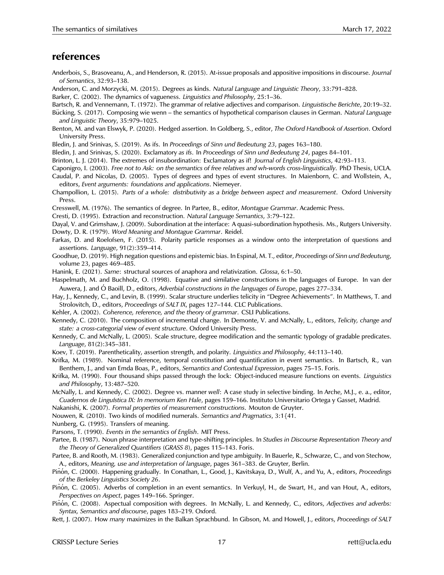## **references**

- Anderbois, S., Brasoveanu, A., and Henderson, R. (2015). At-issue proposals and appositive impositions in discourse. *Journal of Semantics*, 32:93–138.
- Anderson, C. and Morzycki, M. (2015). Degrees as kinds. *Natural Language and Linguistic Theory*, 33:791–828.

Barker, C. (2002). The dynamics of vagueness. *Linguistics and Philosophy*, 25:1–36.

Bartsch, R. and Vennemann, T. (1972). The grammar of relative adjectives and comparison. *Linguistische Berichte*, 20:19–32.

- Bucking, S. (2017). Composing wie wenn the semantics of hypothetical comparison clauses in German. *Natural Language and Linguistic Theory*, 35:979–1025.
- Benton, M. and van Elswyk, P. (2020). Hedged assertion. In Goldberg, S., editor, *The Oxford Handbook of Assertion*. Oxford University Press.

Bledin, J. and Srinivas, S. (2019). As ifs. In *Proceedings of Sinn und Bedeutung 23*, pages 163–180.

Bledin, J. and Srinivas, S. (2020). Exclamatory *as ifs*. In *Proceedings of Sinn und Bedeutung 24*, pages 84–101.

Brinton, L. J. (2014). The extremes of insubordination: Exclamatory as if! *Journal of English Linguistics*, 42:93–113.

- Caponigro, I. (2003). *Free not to Ask: on the semantics of free relatives and wh-words cross-linguistically*. PhD Thesis, UCLA.
- Caudal, P. and Nicolas, D. (2005). Types of degrees and types of event structures. In Maienborn, C. and Wollstein, A., editors, *Event arguments: foundations and applications*. Niemeyer.
- Champollion, L. (2015). *Parts of a whole: distributivity as a bridge between aspect and measurement*. Oxford University Press.

Cresswell, M. (1976). The semantics of degree. In Partee, B., editor, *Montague Grammar*. Academic Press.

Cresti, D. (1995). Extraction and reconstruction. *Natural Language Semantics*, 3:79–122.

Dayal, V. and Grimshaw, J. (2009). Subordination at the interface: A quasi-subordination hypothesis. Ms., Rutgers University. Dowty, D. R. (1979). *Word Meaning and Montague Grammar*. Reidel.

Farkas, D. and Roelofsen, F. (2015). Polarity particle responses as a window onto the interpretation of questions and assertions. *Language*, 91(2):359–414.

Goodhue, D. (2019). High negation questions and epistemic bias. In Espinal, M. T., editor, *Proceedings of Sinn und Bedeutung*, volume 23, pages 469–485.

Hanink, E. (2021). *Same*: structural sources of anaphora and relativization. *Glossa*, 6:1–50.

Haspelmath, M. and Buchholz, O. (1998). Equative and similative constructions in the languages of Europe. In van der Auwera, J. and Ó Baoill, D., editors, *Adverbial constructions in the languages of Europe*, pages 277–334.

Hay, J., Kennedy, C., and Levin, B. (1999). Scalar structure underlies telicity in "Degree Achievements". In Matthews, T. and Strolovitch, D., editors, *Proceedings of SALT IX*, pages 127–144. CLC Publications.

Kehler, A. (2002). *Coherence, reference, and the theory of grammar*. CSLI Publications.

Kennedy, C. (2010). The composition of incremental change. In Demonte, V. and McNally, L., editors, *Telicity, change and state: a cross-categorial view of event structure*. Oxford University Press.

Kennedy, C. and McNally, L. (2005). Scale structure, degree modification and the semantic typology of gradable predicates. *Language*, 81(2):345–381.

Koev, T. (2019). Parentheticality, assertion strength, and polarity. *Linguistics and Philosophy*, 44:113–140.

Krifka, M. (1989). Nominal reference, temporal constitution and quantification in event semantics. In Bartsch, R., van Benthem, J., and van Emda Boas, P., editors, *Semantics and Contextual Expression*, pages 75–15. Foris.

Krifka, M. (1990). Four thousand ships passed through the lock: Object-induced measure functions on events. *Linguistics and Philosophy*, 13:487–520.

McNally, L. and Kennedy, C. (2002). Degree vs. manner *well*: A case study in selective binding. In Arche, M.J., e. a., editor, *Cuadernos de Lingu´ıstica IX: In memorium Ken Hale*, pages 159–166. Instituto Universitario Ortega y Gasset, Madrid.

Nakanishi, K. (2007). *Formal properties of measurement constructions*. Mouton de Gruyter.

Nouwen, R. (2010). Two kinds of modified numerals. *Semantics and Pragmatics*, 3:1{41.

Nunberg, G. (1995). Transfers of meaning.

Parsons, T. (1990). *Events in the semantics of English*. MIT Press.

Partee, B. (1987). Noun phrase interpretation and type-shifting principles. In *Studies in Discourse Representation Theory and the Theory of Generalized Quantifiers (GRASS 8)*, pages 115–143. Foris.

Partee, B. and Rooth, M. (1983). Generalized conjunction and type ambiguity. In Bauerle, R., Schwarze, C., and von Stechow, A., editors, *Meaning, use and interpretation of language*, pages 361–383. de Gruyter, Berlin.

Piñón, C. (2000). Happening gradually. In Conathan, L., Good, J., Kavitskaya, D., Wulf, A., and Yu, A., editors, *Proceedings of the Berkeley Linguistics Society 26*.

Piñón, C. (2005). Adverbs of completion in an event semantics. In Verkuyl, H., de Swart, H., and van Hout, A., editors, *Perspectives on Aspect*, pages 149–166. Springer.

Piñón, C. (2008). Aspectual composition with degrees. In McNally, L. and Kennedy, C., editors, Adjectives and adverbs: *Syntax, Semantics and discourse*, pages 183–219. Oxford.

Rett, J. (2007). How *many* maximizes in the Balkan Sprachbund. In Gibson, M. and Howell, J., editors, *Proceedings of SALT*